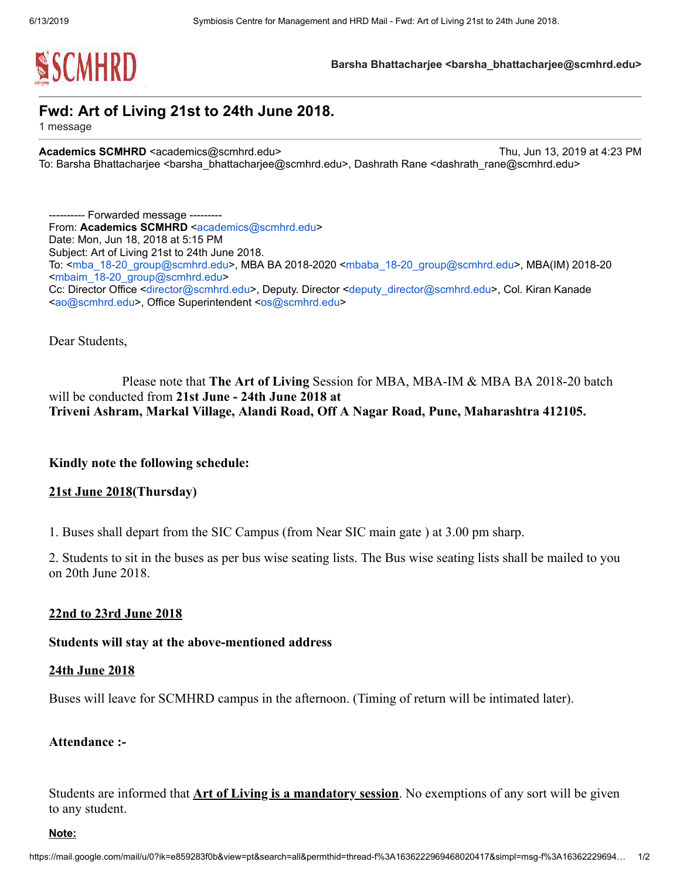

Barsha Bhattacharjee <br />
starsha Bhattacharjee@scmhrd.edu>

# Fwd: Art of Living 21st to 24th June 2018.

1 message

Academics SCMHRD <academics@scmhrd.edu> Thu, Jun 13, 2019 at 4:23 PM To: Barsha Bhattacharjee <barsha\_bhattacharjee@scmhrd.edu>, Dashrath Rane <dashrath\_rane@scmhrd.edu>

---------- Forwarded message --------- From: Academics SCMHRD [<academics@scmhrd.edu>](mailto:academics@scmhrd.edu) Date: Mon, Jun 18, 2018 at 5:15 PM Subject: Art of Living 21st to 24th June 2018. To: <[mba\\_18-20\\_group@scmhrd.edu>](mailto:mba_18-20_group@scmhrd.edu), MBA BA 2018-2020 <[mbaba\\_18-20\\_group@scmhrd.edu>](mailto:mbaba_18-20_group@scmhrd.edu), MBA(IM) 2018-20 <[mbaim\\_18-20\\_group@scmhrd.edu>](mailto:mbaim_18-20_group@scmhrd.edu) Cc: Director Office <[director@scmhrd.edu](mailto:director@scmhrd.edu)>, Deputy. Director <[deputy\\_director@scmhrd.edu](mailto:deputy_director@scmhrd.edu)>, Col. Kiran Kanade <[ao@scmhrd.edu](mailto:ao@scmhrd.edu)>, Office Superintendent <[os@scmhrd.edu](mailto:os@scmhrd.edu)>

Dear Students,

Please note that The Art of Living Session for MBA, MBA-IM & MBA BA 2018-20 batch will be conducted from 21st June - 24th June 2018 at Triveni Ashram, Markal Village, Alandi Road, Off A Nagar Road, Pune, Maharashtra 412105.

Kindly note the following schedule:

## 21st June 2018(Thursday)

1. Buses shall depart from the SIC Campus (from Near SIC main gate ) at 3.00 pm sharp.

2. Students to sit in the buses as per bus wise seating lists. The Bus wise seating lists shall be mailed to you on 20th June 2018.

## 22nd to 23rd June 2018

### Students will stay at the above-mentioned address

### 24th June 2018

Buses will leave for SCMHRD campus in the afternoon. (Timing of return will be intimated later).

### Attendance :-

Students are informed that **Art of Living is a mandatory session**. No exemptions of any sort will be given to any student.

#### Note: